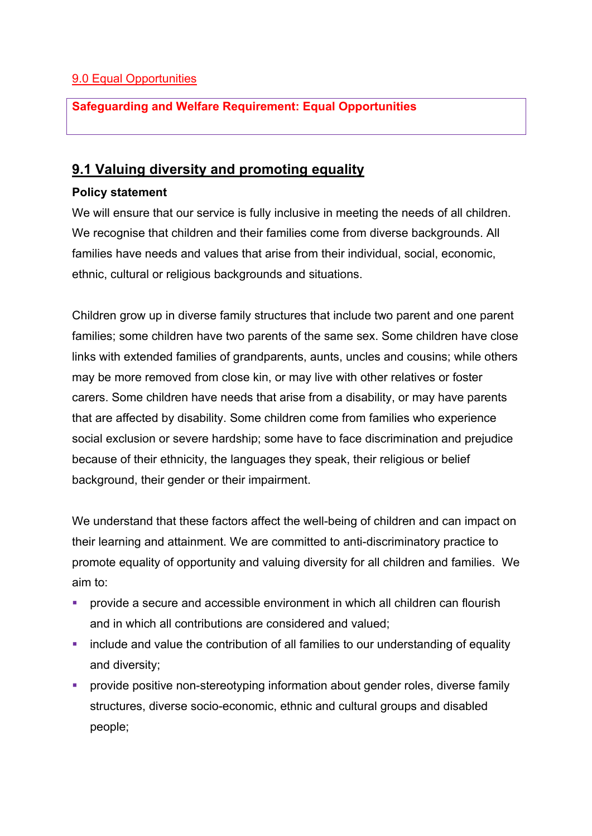# 9.0 Equal Opportunities

# **Safeguarding and Welfare Requirement: Equal Opportunities**

# **9.1 Valuing diversity and promoting equality**

### **Policy statement**

We will ensure that our service is fully inclusive in meeting the needs of all children. We recognise that children and their families come from diverse backgrounds. All families have needs and values that arise from their individual, social, economic, ethnic, cultural or religious backgrounds and situations.

Children grow up in diverse family structures that include two parent and one parent families; some children have two parents of the same sex. Some children have close links with extended families of grandparents, aunts, uncles and cousins; while others may be more removed from close kin, or may live with other relatives or foster carers. Some children have needs that arise from a disability, or may have parents that are affected by disability. Some children come from families who experience social exclusion or severe hardship; some have to face discrimination and prejudice because of their ethnicity, the languages they speak, their religious or belief background, their gender or their impairment.

We understand that these factors affect the well-being of children and can impact on their learning and attainment. We are committed to anti-discriminatory practice to promote equality of opportunity and valuing diversity for all children and families. We aim to:

- provide a secure and accessible environment in which all children can flourish and in which all contributions are considered and valued;
- include and value the contribution of all families to our understanding of equality and diversity;
- provide positive non-stereotyping information about gender roles, diverse family structures, diverse socio-economic, ethnic and cultural groups and disabled people;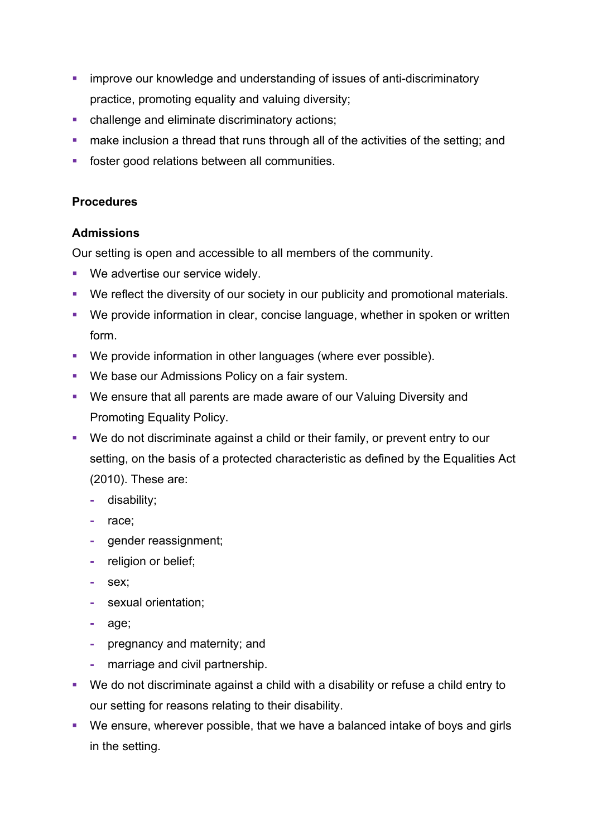- **•** improve our knowledge and understanding of issues of anti-discriminatory practice, promoting equality and valuing diversity;
- challenge and eliminate discriminatory actions;
- make inclusion a thread that runs through all of the activities of the setting; and
- foster good relations between all communities.

# **Procedures**

# **Admissions**

Our setting is open and accessible to all members of the community.

- We advertise our service widely.
- We reflect the diversity of our society in our publicity and promotional materials.
- We provide information in clear, concise language, whether in spoken or written form.
- We provide information in other languages (where ever possible).
- We base our Admissions Policy on a fair system.
- We ensure that all parents are made aware of our Valuing Diversity and Promoting Equality Policy.
- We do not discriminate against a child or their family, or prevent entry to our setting, on the basis of a protected characteristic as defined by the Equalities Act (2010). These are:
	- **-** disability;
	- **-** race;
	- **-** gender reassignment;
	- **-** religion or belief;
	- **-** sex;
	- **-** sexual orientation;
	- **-** age;
	- **-** pregnancy and maternity; and
	- **-** marriage and civil partnership.
- We do not discriminate against a child with a disability or refuse a child entry to our setting for reasons relating to their disability.
- We ensure, wherever possible, that we have a balanced intake of boys and girls in the setting.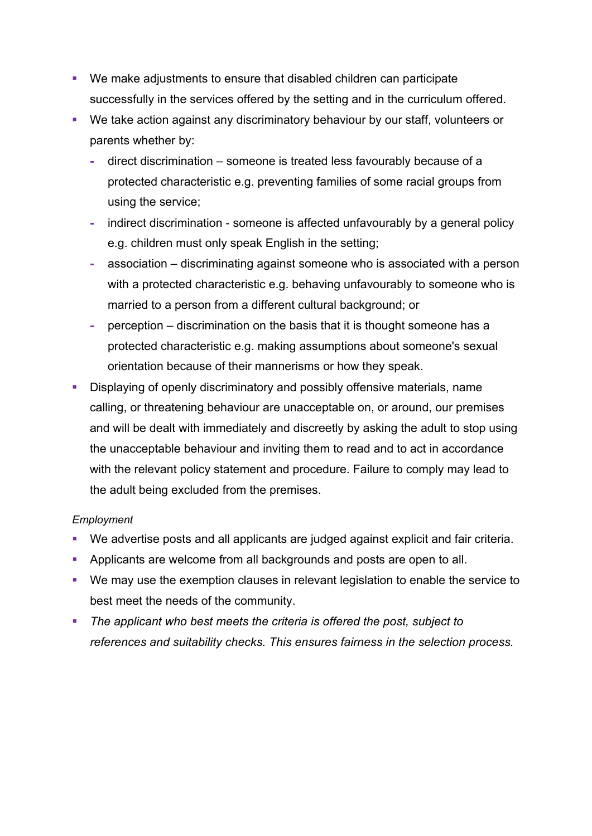- We make adjustments to ensure that disabled children can participate successfully in the services offered by the setting and in the curriculum offered.
- We take action against any discriminatory behaviour by our staff, volunteers or parents whether by:
	- **-** direct discrimination someone is treated less favourably because of a protected characteristic e.g. preventing families of some racial groups from using the service;
	- **-** indirect discrimination someone is affected unfavourably by a general policy e.g. children must only speak English in the setting;
	- **-** association discriminating against someone who is associated with a person with a protected characteristic e.g. behaving unfavourably to someone who is married to a person from a different cultural background; or
	- **-** perception discrimination on the basis that it is thought someone has a protected characteristic e.g. making assumptions about someone's sexual orientation because of their mannerisms or how they speak.
- Displaying of openly discriminatory and possibly offensive materials, name calling, or threatening behaviour are unacceptable on, or around, our premises and will be dealt with immediately and discreetly by asking the adult to stop using the unacceptable behaviour and inviting them to read and to act in accordance with the relevant policy statement and procedure. Failure to comply may lead to the adult being excluded from the premises.

#### *Employment*

- We advertise posts and all applicants are judged against explicit and fair criteria.
- § Applicants are welcome from all backgrounds and posts are open to all.
- We may use the exemption clauses in relevant legislation to enable the service to best meet the needs of the community.
- § *The applicant who best meets the criteria is offered the post, subject to references and suitability checks. This ensures fairness in the selection process.*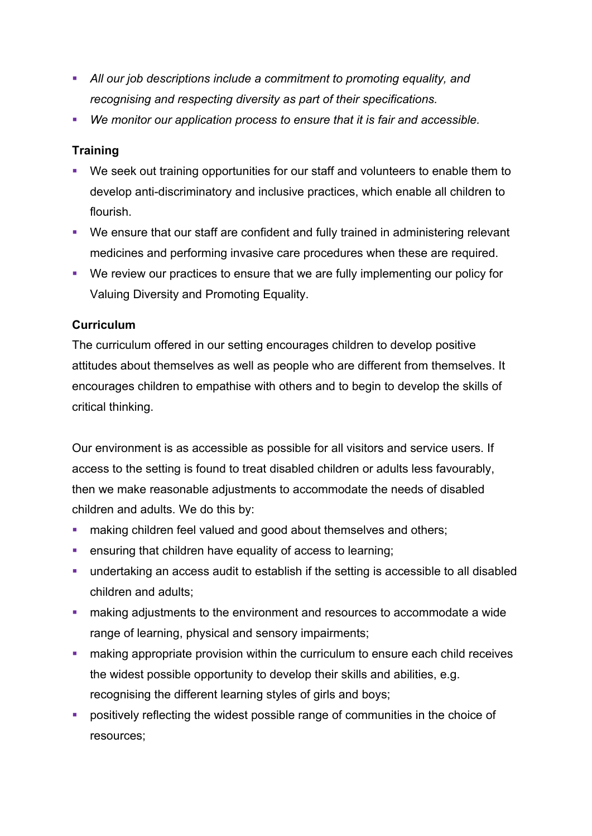- § *All our job descriptions include a commitment to promoting equality, and recognising and respecting diversity as part of their specifications.*
- § *We monitor our application process to ensure that it is fair and accessible.*

# **Training**

- We seek out training opportunities for our staff and volunteers to enable them to develop anti-discriminatory and inclusive practices, which enable all children to flourish.
- We ensure that our staff are confident and fully trained in administering relevant medicines and performing invasive care procedures when these are required.
- We review our practices to ensure that we are fully implementing our policy for Valuing Diversity and Promoting Equality.

# **Curriculum**

The curriculum offered in our setting encourages children to develop positive attitudes about themselves as well as people who are different from themselves. It encourages children to empathise with others and to begin to develop the skills of critical thinking.

Our environment is as accessible as possible for all visitors and service users. If access to the setting is found to treat disabled children or adults less favourably, then we make reasonable adjustments to accommodate the needs of disabled children and adults. We do this by:

- **■** making children feel valued and good about themselves and others;
- ensuring that children have equality of access to learning;
- undertaking an access audit to establish if the setting is accessible to all disabled children and adults;
- making adjustments to the environment and resources to accommodate a wide range of learning, physical and sensory impairments;
- making appropriate provision within the curriculum to ensure each child receives the widest possible opportunity to develop their skills and abilities, e.g. recognising the different learning styles of girls and boys;
- positively reflecting the widest possible range of communities in the choice of resources;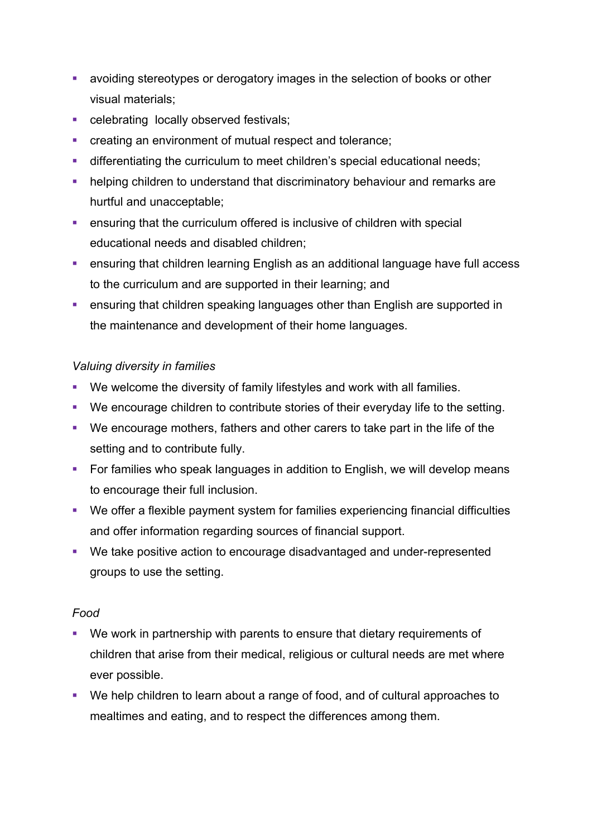- avoiding stereotypes or derogatory images in the selection of books or other visual materials;
- celebrating locally observed festivals;
- creating an environment of mutual respect and tolerance;
- differentiating the curriculum to meet children's special educational needs;
- helping children to understand that discriminatory behaviour and remarks are hurtful and unacceptable;
- **ensuring that the curriculum offered is inclusive of children with special** educational needs and disabled children;
- ensuring that children learning English as an additional language have full access to the curriculum and are supported in their learning; and
- ensuring that children speaking languages other than English are supported in the maintenance and development of their home languages.

# *Valuing diversity in families*

- We welcome the diversity of family lifestyles and work with all families.
- We encourage children to contribute stories of their everyday life to the setting.
- We encourage mothers, fathers and other carers to take part in the life of the setting and to contribute fully.
- For families who speak languages in addition to English, we will develop means to encourage their full inclusion.
- We offer a flexible payment system for families experiencing financial difficulties and offer information regarding sources of financial support.
- We take positive action to encourage disadvantaged and under-represented groups to use the setting.

# *Food*

- § We work in partnership with parents to ensure that dietary requirements of children that arise from their medical, religious or cultural needs are met where ever possible.
- We help children to learn about a range of food, and of cultural approaches to mealtimes and eating, and to respect the differences among them.